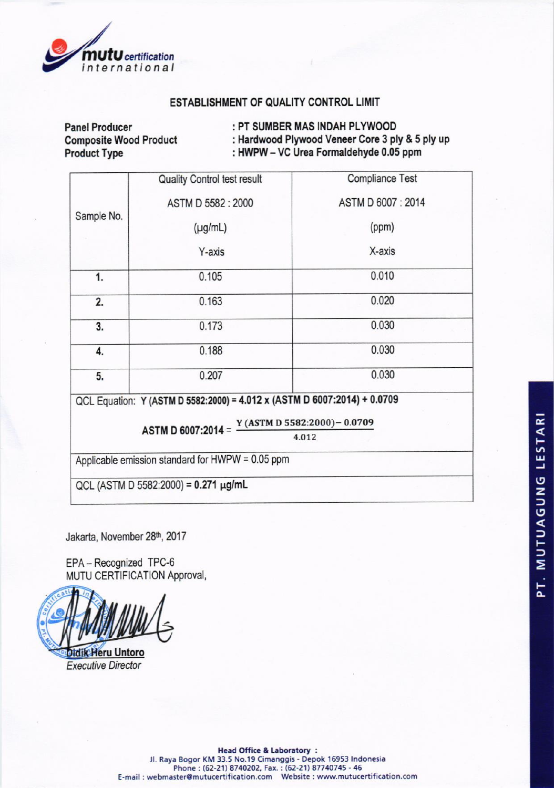

# ESTABLISHMENT OF QUALITY CONTROL LIMIT

**Panel Producer Composite Wood Product Product Type** 

: PT SUMBER MAS INDAH PLYWOOD

: Hardwood Plywood Veneer Core 3 ply & 5 ply up : HWPW - VC Urea Formaldehyde 0.05 ppm

|            | <b>Quality Control test result</b>                                                       | <b>Compliance Test</b> |
|------------|------------------------------------------------------------------------------------------|------------------------|
| Sample No. | ASTM D 5582: 2000                                                                        | ASTM D 6007: 2014      |
|            | $(\mu g/mL)$                                                                             | (ppm)                  |
|            | Y-axis                                                                                   | X-axis                 |
| 1.         | 0.105                                                                                    | 0.010                  |
| 2.         | 0.163                                                                                    | 0.020                  |
| 3.         | 0.173                                                                                    | 0.030                  |
| 4.         | 0.188                                                                                    | 0.030                  |
| 5.         | 0.207                                                                                    | 0.030                  |
|            | QCL Equation: Y (ASTM D 5582:2000) = 4.012 x (ASTM D 6007:2014) + 0.0709                 |                        |
|            | ASTM D 6007:2014 = $\frac{Y (ASTM D 5582:2000) - 0.0709}{Y (ASTM D 5582:2000) - 0.0709}$ |                        |
|            |                                                                                          | 4.012                  |
|            | Applicable emission standard for HWPW = 0.05 ppm                                         |                        |
|            | QCL (ASTM D 5582:2000) = $0.271 \mu g/mL$                                                |                        |

Jakarta, November 28th, 2017

EPA-Recognized TPC-6 MUTU CERTIFICATION Approval,

Didik Heru Untoro **Executive Director** 

PT. MUTUAGUNG LESTARI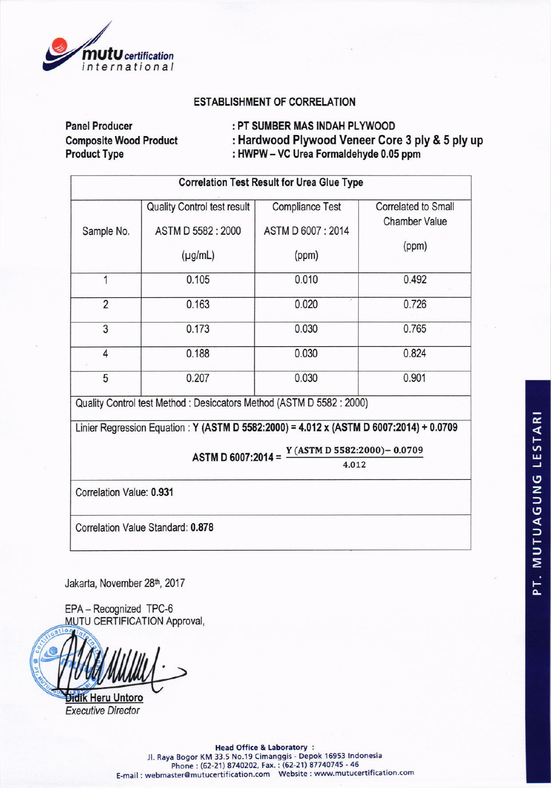

### **ESTABLISHMENT OF CORRELATION**

**Panel Producer Composite Wood Product Product Type** 

: PT SUMBER MAS INDAH PLYWOOD

: Hardwood Plywood Veneer Core 3 ply & 5 ply up : HWPW - VC Urea Formaldehyde 0.05 ppm

| <b>Correlation Test Result for Urea Glue Type</b> |                                                   |                                             |                                                    |
|---------------------------------------------------|---------------------------------------------------|---------------------------------------------|----------------------------------------------------|
| Sample No.                                        | Quality Control test result<br>ASTM D 5582 : 2000 | <b>Compliance Test</b><br>ASTM D 6007: 2014 | <b>Correlated to Small</b><br><b>Chamber Value</b> |
|                                                   | $(\mu g/mL)$                                      | (ppm)                                       | (ppm)                                              |
| 1                                                 | 0.105                                             | 0.010                                       | 0.492                                              |
| $\overline{2}$                                    | 0.163                                             | 0.020                                       | 0.726                                              |
| 3                                                 | 0.173                                             | 0.030                                       | 0.765                                              |
| $\overline{4}$                                    | 0.188                                             | 0.030                                       | 0.824                                              |
| 5                                                 | 0.207                                             | 0.030                                       | 0.901                                              |

Quality Control test Method: Desiccators Method (ASTM D 5582: 2000)

Linier Regression Equation: Y (ASTM D 5582:2000) = 4.012 x (ASTM D 6007:2014) + 0.0709

ASTM D 6007:2014 =  $\frac{Y (ASTM D 5582:2000) - 0.0709}{Y (ASTM D 5582:2000) - 0.0709}$ 

4.012

Correlation Value: 0.931

Correlation Value Standard: 0.878

Jakarta, November 28th, 2017

EPA - Recognized TPC-6 MUTU CERTIFICATION Approval,

Untoro Heru

**Executive Director**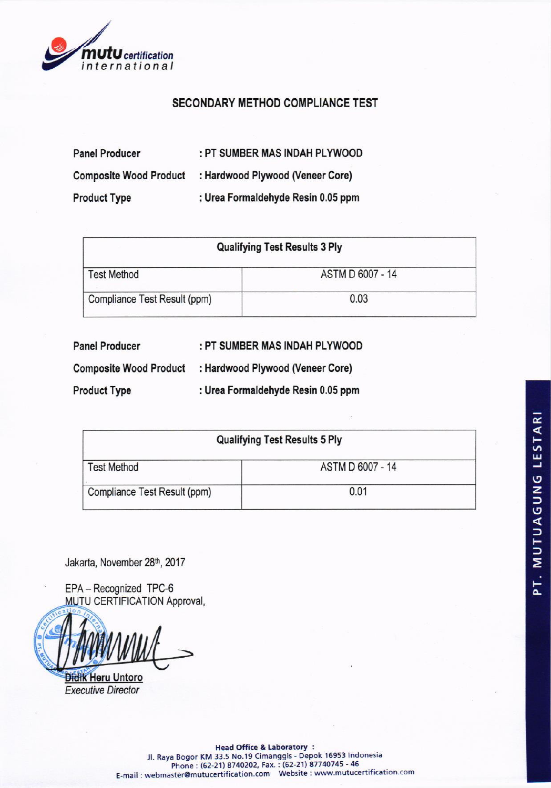

# **SECONDARY METHOD COMPLIANCE TEST**

| <b>Panel Producer</b>         | : PT SUMBER MAS INDAH PLYWOOD      |
|-------------------------------|------------------------------------|
| <b>Composite Wood Product</b> | : Hardwood Plywood (Veneer Core)   |
| <b>Product Type</b>           | : Urea Formaldehyde Resin 0.05 ppm |

| <b>Qualifying Test Results 3 Ply</b> |                  |  |
|--------------------------------------|------------------|--|
| <b>Test Method</b>                   | ASTM D 6007 - 14 |  |
| Compliance Test Result (ppm)         | 0.03             |  |

| <b>Panel Producer</b>         | : PT SUMBER MAS INDAH PLYWOOD      |
|-------------------------------|------------------------------------|
| <b>Composite Wood Product</b> | : Hardwood Plywood (Veneer Core)   |
| <b>Product Type</b>           | : Urea Formaldehyde Resin 0.05 ppm |

| <b>Qualifying Test Results 5 Ply</b> |                  |  |
|--------------------------------------|------------------|--|
| <b>Test Method</b>                   | ASTM D 6007 - 14 |  |
| Compliance Test Result (ppm)         | 0.01             |  |

Jakarta, November 28th, 2017

EPA-Recognized TPC-6 **MUTU CERTIFICATION Approval,** 



**Didik Heru Untoro Executive Director** 

11. Raya Bogor KM 33.5 No.19 Cimanggis - Depok 16953 Indonesia<br>Phone : (62-21) 8740202, Fax. : (62-21) 87740745 - 46<br>E-mail : webmaster@mutucertification.com Website : www.mutucertification.com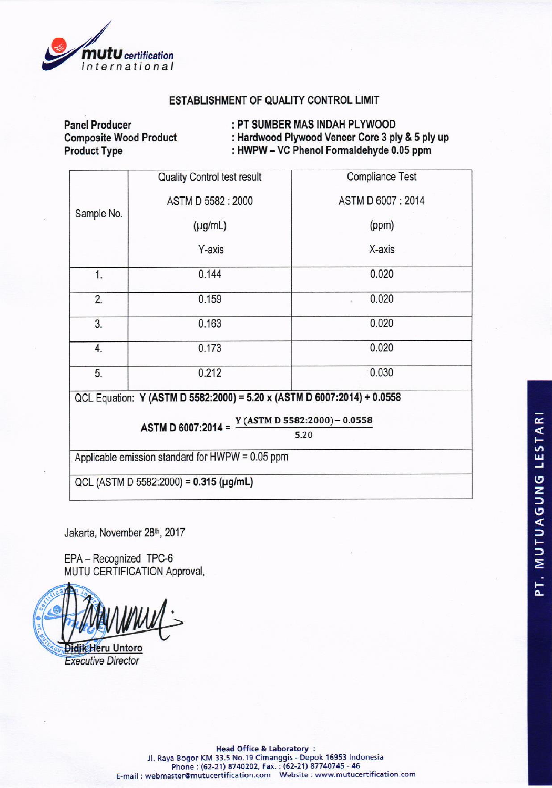

## ESTABLISHMENT OF QUALITY CONTROL LIMIT

Panel Producer Composite Wood Product Product Type

: PT SUMBER MAS INDAH PLYWOOD : Hardwood Plywood Veneer Core 3 ply & 5 ply up : HWPW-VC Phenol Fomaldehyde 0.05 ppm

Sample No. Quality Control test result ASTMD5582:2000  $(\mu g/mL)$ Y-axis Compliance Test ASTMD6007:2014 (ppm) X-axis <sup>1</sup> 0.'144 0.020 2. 0.020 **0.159** 0.159 3. 0.163 0.020 4. 0.173 0.020 5. 0.212 0.030 QCL Equation: Y (ASTM D 5582:2000) = 5.20 x (ASTM D 6007:2014) + 0.0558

> ASTM D 6007:2014 = Y (ASTM D 5Sa2:2O0O)- 0.0SSa

5.20

Applicable emission standard for HWPW = 0.05 ppm

QCL (ASTM D 5582:2000) =  $0.315$  (µg/mL)

Jakarta, November 28<sup>th</sup>, 2017

EPA - Recognized TPC-6 MUTU CERTIFICATION Approval,

**Didik Heru Untoro** 

**Executive Director** 

Head Office & Laboratory : Jl. Raya Bogor KM 33.5 No.19 Cimanggis - Depok 16953 Indonesia Phone : (62-21) 8740202, Fax. : (62-21) 87740745 - 46 E-mail:webmaster@mutucertification.com Website:www.mutucertification.cor o-